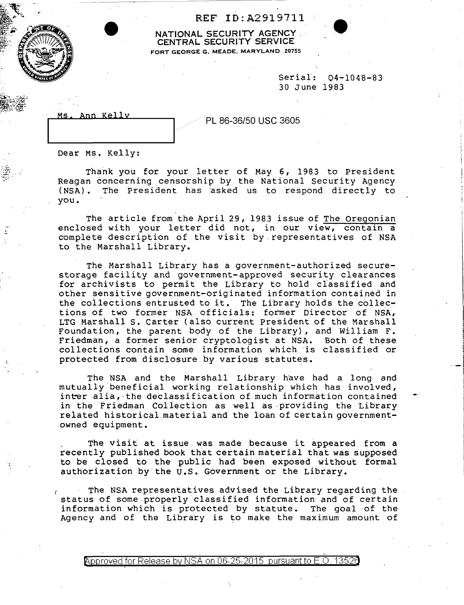REF ID:A2919711

NATIONAL SECURITY AGENCY . CENTRAL SECURITY SERVICE FORT GEORGE G. MEADE. MARYLAND 20755

> Serial: 04-1048-83 30 June 1983

> > -I

| Ann r | Kell |
|-------|------|
|       |      |

PL 86-36/50 USC 3605

Dear Ms. Kelly:

. ,. :~l:~ ~' ..

Thank you for your letter of May 6, 1983 to President Reagan concerning censorship by the National Security Agency<br>(NSA). The President has asked us to respond directly to The President has asked us to respond directly to you.

The article from the April 29, 1983 issue of The Oregonian enclosed with your letter did not, in our view, contain a complete description of the visit by. representatives of NSA to the Marshall Library.

The Marshall Library has a government-authorized securestorage facility and government-approved security clearances for archivists to permit the Library to hold classified and other sensitive government-originated information contained in the collections entrusted to it. The Library holds the collections of two former NSA officials: former Director of NSA, LTG Marshall S. Carter (also current President of the Marshall Foundation, the parent body of the Library) , and William F. Friedman, a former senior cryptologist at NSA. Both of these collections contain some information which ·is classified or protected from disclosure by various statutes.

The NSA and the Marshall Library have had a long and mutually beneficial working relationship which has involved, inter alia, the declassification of much information contained in the Friedman Collection as well as providing the Library related historical.material and the loan of certain governmentowned equipment.

The visit at issue was made because it appeared from a recently published book that certain material that was supposed to be closed to the public had been exposed without formai authorization by the U.S. Government or the Library.

The NSA representatives advised the Library regarding the status of some.properly classified information and of certain information which is protected by statute. The goal ·of the Agency and of the Library is to make the maximum amount of

Approved for Release by NSA on 06-25-2015 pursuant to E.O. 13526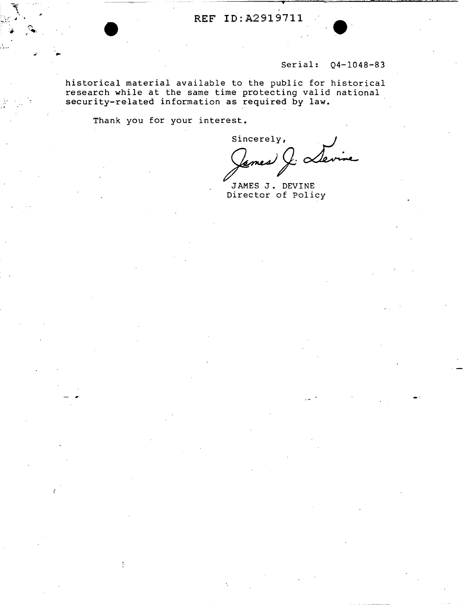## **REF** ID:A2919711

## Serial: 04-1048-83

historical material available to the public for historical research while at the same time protecting valid national security-related information as required by law.

Thank you for your interest.

Ą.

Sincerely,<br>James & Ler

JAMES J. DEVINE Director of Policy